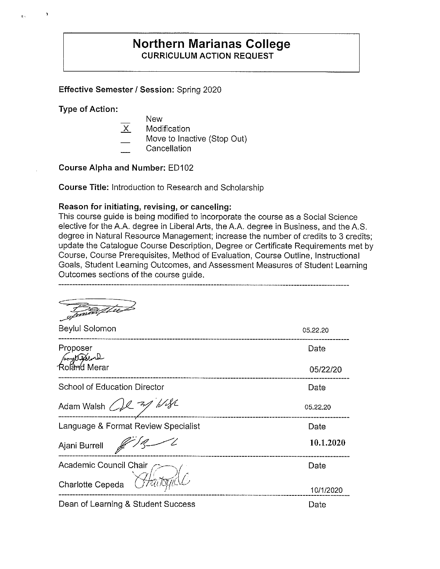### **Northern Marianas College CURRICULUM ACTION REQUEST**

**Effective Semester/ Session:** Spring 2020

**Type of Action:** 

 $\overline{\phantom{a}}$ 

- New
	- $X$  Modification
		- Move to Inactive (Stop Out)
- **Cancellation**

#### **Course Alpha and Number:** ED102

**Course Title:** Introduction to Research and Scholarship

#### **Reason for initiating, revising, or canceling:**

This course guide is being modified to incorporate the course as a Social Science elective for the A.A. degree in Liberal Arts, the A.A. degree in Business, and the A.S. degree in Natural Resource Management; increase the number of credits to 3 credits; update the Catalogue Course Description, Degree or Certificate Requirements met by Course, Course Prerequisites, Method of Evaluation, Course Outline, Instructional Goals, Student Learning Outcomes, and Assessment Measures of Student Learning Outcomes sections of the course guide.

Formes/ /w/

| Beylul Solomon                      | 05.22,20  |
|-------------------------------------|-----------|
| Proposer<br>anythesing              | Date      |
|                                     | 05/22/20  |
| <b>School of Education Director</b> | Date      |
| Adam Walsh CL 31/1/18               | 05.22.20  |
| Language & Format Review Specialist | Date      |
| Ajani Burrell                       | 10.1.2020 |
| Academic Council Chair              | Date      |
| Haitsul<br>Charlotte Cepeda         | 10/1/2020 |
| Dean of Learning & Student Success  | Date      |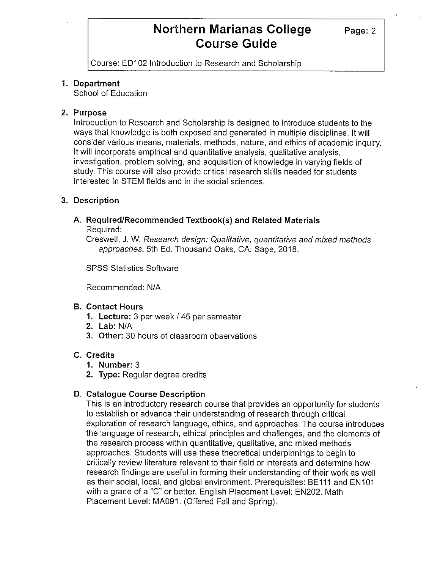Course: ED102 Introduction to Research and Scholarship

#### **1. Department**

School of Education

#### **2. Purpose**

Introduction to Research and Scholarship is designed to introduce students to the ways that knowledge is both exposed and generated in multiple disciplines. It will consider various means, materials, methods, nature, and ethics of academic inquiry. It will incorporate empirical and quantitative analysis, qualitative analysis, investigation, problem solving, and acquisition of knowledge in varying fields of study. This course will also provide critical research skills needed for students interested in STEM fields and in the social sciences.

#### **3. Description**

# **A. Required/Recommended Textbook(s) and Related Materials**

Required:

Creswell, J. W. Research design: Qualitative, quantitative and mixed methods approaches. 5th Ed. Thousand Oaks, CA: Sage, 2018.

SPSS Statistics Software

Recommended: N/A

#### **B. Contact Hours**

- **1. Lecture:** 3 per week / 45 per semester
- **2. Lab:** N/A
- **3. Other:** 30 hours of classroom observations

#### **C. Credits**

- **1. Number:** 3
- **2. Type:** Regular degree credits

#### **D. Catalogue Course Description**

This is an introductory research course that provides an opportunity for students to establish or advance their understanding of research through critical exploration of research language, ethics, and approaches. The course introduces the language of research, ethical principles and challenges, and the elements of the research process within quantitative, qualitative, and mixed methods approaches. Students will use these theoretical underpinnings to begin to critically review literature relevant to their field or interests and determine how research findings are useful in forming their understanding of their work as well as their social, local, and global environment. Prerequisites: BE111 and EN101 with a grade of a "C" or better. English Placement Level: EN202. Math Placement Level: MA091. (Offered Fall and Spring).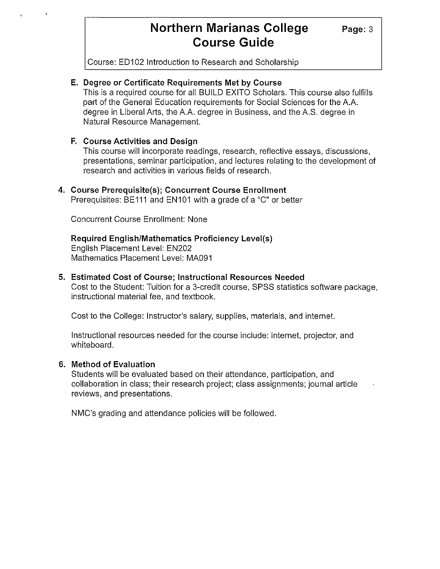Course: ED102 Introduction to Research and Scholarship

#### **E. Degree or Certificate Requirements Met by Course**

This is a required course for all BUILD EXITO Scholars. This course also fulfills part of the General Education requirements for Social Sciences for the A.A. degree in Liberal Arts, the A.A. degree in Business, and the A.S. degree in Natural Resource Management.

#### **F. Course Activities and Design**

This course will incorporate readings, research, reflective essays, discussions, presentations, seminar participation, and lectures relating to the development of research and activities in various fields of research.

#### **4. Course Prerequisite(s); Concurrent Course Enrollment**

Prerequisites: BE111 and EN101 with a grade of a "C" or better

Concurrent Course Enrollment: None

#### **Required English/Mathematics Proficiency Level(s)**

English Placement Level: EN202 Mathematics Placement Level: MA091

#### **5. Estimated Cost of Course; Instructional Resources Needed**

Cost to the Student: Tuition for a 3-credit course, SPSS statistics software package, instructional material fee, and textbook.

Cost to the College: Instructor's salary, supplies, materials, and internet.

Instructional resources needed for the course include: internet, projector, and whiteboard.

#### **6. Method of Evaluation**

Students will be evaluated based on their attendance, participation, and collaboration in class; their research project; class assignments; journal article reviews, and presentations.

NMC's grading and attendance policies will be followed.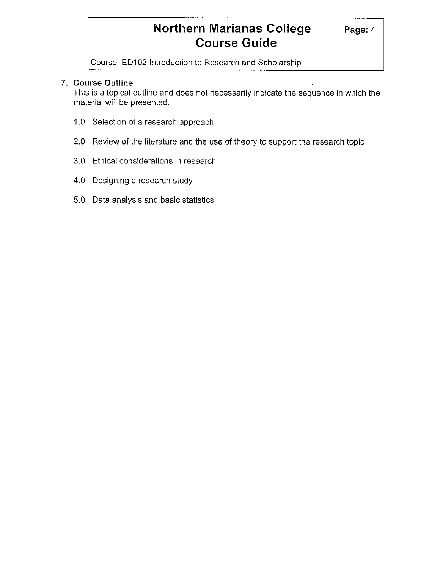Course: ED102 Introduction to Research and Scholarship

#### **7. Course Outline**

This is a topical outline and does not necessarily indicate the sequence in which the material will be presented.

- 1.0 Selection of a research approach
- 2.0 Review of the literature and the use of theory to support the research topic
- 3.0 Ethical considerations in research
- 4.0 Designing a research study
- 5.0 Data analysis and basic statistics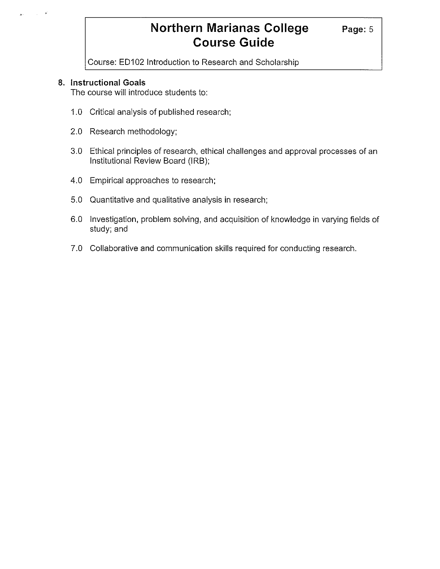Course: ED102 Introduction to Research and Scholarship

#### **8. Instructional Goals**

 $\gamma$  $\sim 10^{-1}$ 

The course will introduce students to:

- 1.0 Critical analysis of published research;
- 2.0 Research methodology;
- 3.0 Ethical principles of research, ethical challenges and approval processes of an Institutional Review Board (IRB);
- 4.0 Empirical approaches to research;
- 5.0 Quantitative and qualitative analysis in research;
- 6.0 Investigation, problem solving, and acquisition of knowledge in varying fields of study; and
- 7.0 Collaborative and communication skills required for conducting research.